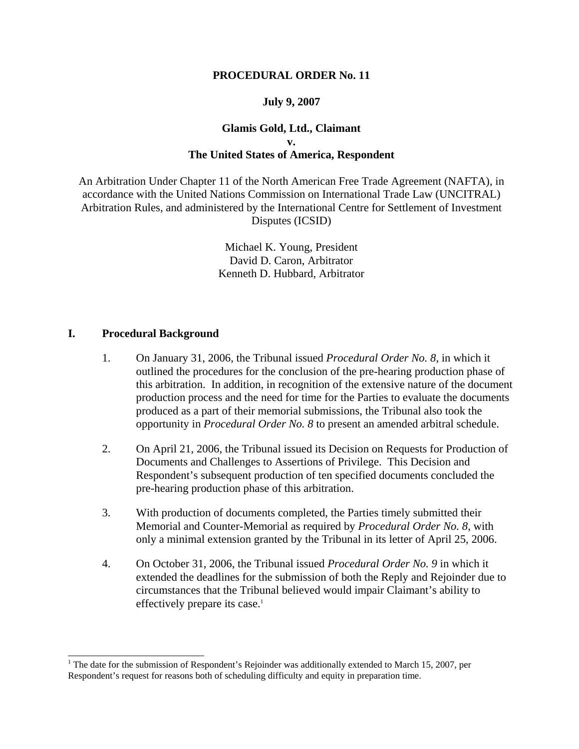#### **PROCEDURAL ORDER No. 11**

### **July 9, 2007**

### **Glamis Gold, Ltd., Claimant v. The United States of America, Respondent**

An Arbitration Under Chapter 11 of the North American Free Trade Agreement (NAFTA), in accordance with the United Nations Commission on International Trade Law (UNCITRAL) Arbitration Rules, and administered by the International Centre for Settlement of Investment Disputes (ICSID)

> Michael K. Young, President David D. Caron, Arbitrator Kenneth D. Hubbard, Arbitrator

### **I. Procedural Background**

- 1. On January 31, 2006, the Tribunal issued *Procedural Order No. 8*, in which it outlined the procedures for the conclusion of the pre-hearing production phase of this arbitration. In addition, in recognition of the extensive nature of the document production process and the need for time for the Parties to evaluate the documents produced as a part of their memorial submissions, the Tribunal also took the opportunity in *Procedural Order No. 8* to present an amended arbitral schedule.
- 2. On April 21, 2006, the Tribunal issued its Decision on Requests for Production of Documents and Challenges to Assertions of Privilege. This Decision and Respondent's subsequent production of ten specified documents concluded the pre-hearing production phase of this arbitration.
- 3. With production of documents completed, the Parties timely submitted their Memorial and Counter-Memorial as required by *Procedural Order No. 8*, with only a minimal extension granted by the Tribunal in its letter of April 25, 2006.
- 4. On October 31, 2006, the Tribunal issued *Procedural Order No. 9* in which it extended the deadlines for the submission of both the Reply and Rejoinder due to circumstances that the Tribunal believed would impair Claimant's ability to effectively prepare its case.<sup>1</sup>

<sup>&</sup>lt;sup>1</sup> The date for the submission of Respondent's Rejoinder was additionally extended to March 15, 2007, per Respondent's request for reasons both of scheduling difficulty and equity in preparation time.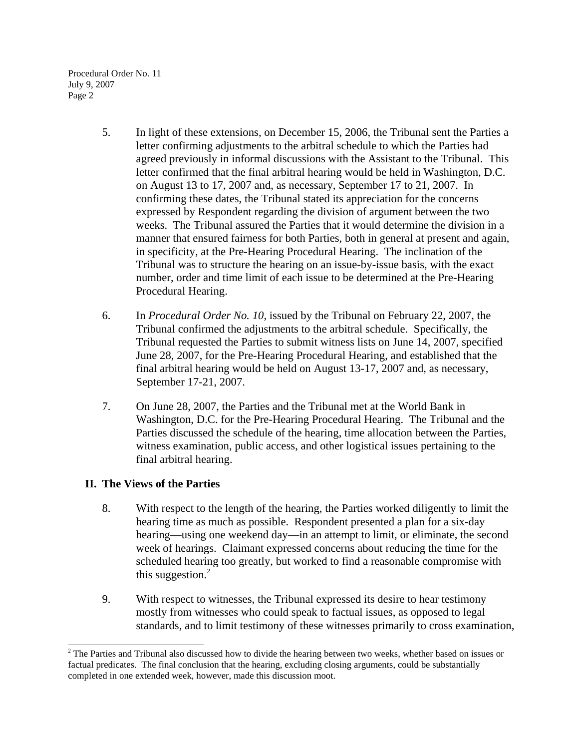- 5. In light of these extensions, on December 15, 2006, the Tribunal sent the Parties a letter confirming adjustments to the arbitral schedule to which the Parties had agreed previously in informal discussions with the Assistant to the Tribunal. This letter confirmed that the final arbitral hearing would be held in Washington, D.C. on August 13 to 17, 2007 and, as necessary, September 17 to 21, 2007. In confirming these dates, the Tribunal stated its appreciation for the concerns expressed by Respondent regarding the division of argument between the two weeks. The Tribunal assured the Parties that it would determine the division in a manner that ensured fairness for both Parties, both in general at present and again, in specificity, at the Pre-Hearing Procedural Hearing. The inclination of the Tribunal was to structure the hearing on an issue-by-issue basis, with the exact number, order and time limit of each issue to be determined at the Pre-Hearing Procedural Hearing.
- 6. In *Procedural Order No. 10*, issued by the Tribunal on February 22, 2007, the Tribunal confirmed the adjustments to the arbitral schedule. Specifically, the Tribunal requested the Parties to submit witness lists on June 14, 2007, specified June 28, 2007, for the Pre-Hearing Procedural Hearing, and established that the final arbitral hearing would be held on August 13-17, 2007 and, as necessary, September 17-21, 2007.
- 7. On June 28, 2007, the Parties and the Tribunal met at the World Bank in Washington, D.C. for the Pre-Hearing Procedural Hearing. The Tribunal and the Parties discussed the schedule of the hearing, time allocation between the Parties, witness examination, public access, and other logistical issues pertaining to the final arbitral hearing.

# **II. The Views of the Parties**

- 8. With respect to the length of the hearing, the Parties worked diligently to limit the hearing time as much as possible. Respondent presented a plan for a six-day hearing—using one weekend day—in an attempt to limit, or eliminate, the second week of hearings. Claimant expressed concerns about reducing the time for the scheduled hearing too greatly, but worked to find a reasonable compromise with this suggestion. $2$
- 9. With respect to witnesses, the Tribunal expressed its desire to hear testimony mostly from witnesses who could speak to factual issues, as opposed to legal standards, and to limit testimony of these witnesses primarily to cross examination,

 $2$  The Parties and Tribunal also discussed how to divide the hearing between two weeks, whether based on issues or factual predicates. The final conclusion that the hearing, excluding closing arguments, could be substantially completed in one extended week, however, made this discussion moot.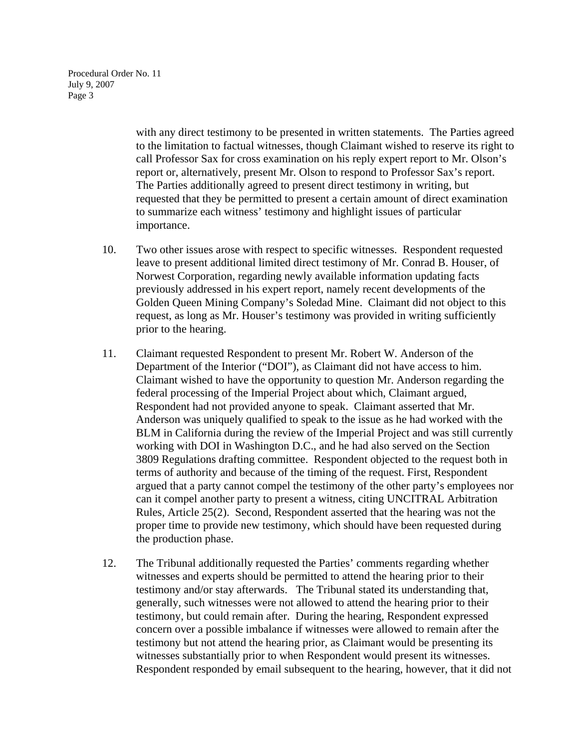> with any direct testimony to be presented in written statements. The Parties agreed to the limitation to factual witnesses, though Claimant wished to reserve its right to call Professor Sax for cross examination on his reply expert report to Mr. Olson's report or, alternatively, present Mr. Olson to respond to Professor Sax's report. The Parties additionally agreed to present direct testimony in writing, but requested that they be permitted to present a certain amount of direct examination to summarize each witness' testimony and highlight issues of particular importance.

- 10. Two other issues arose with respect to specific witnesses. Respondent requested leave to present additional limited direct testimony of Mr. Conrad B. Houser, of Norwest Corporation, regarding newly available information updating facts previously addressed in his expert report, namely recent developments of the Golden Queen Mining Company's Soledad Mine. Claimant did not object to this request, as long as Mr. Houser's testimony was provided in writing sufficiently prior to the hearing.
- 11. Claimant requested Respondent to present Mr. Robert W. Anderson of the Department of the Interior ("DOI"), as Claimant did not have access to him. Claimant wished to have the opportunity to question Mr. Anderson regarding the federal processing of the Imperial Project about which, Claimant argued, Respondent had not provided anyone to speak. Claimant asserted that Mr. Anderson was uniquely qualified to speak to the issue as he had worked with the BLM in California during the review of the Imperial Project and was still currently working with DOI in Washington D.C., and he had also served on the Section 3809 Regulations drafting committee. Respondent objected to the request both in terms of authority and because of the timing of the request. First, Respondent argued that a party cannot compel the testimony of the other party's employees nor can it compel another party to present a witness, citing UNCITRAL Arbitration Rules, Article 25(2). Second, Respondent asserted that the hearing was not the proper time to provide new testimony, which should have been requested during the production phase.
- 12. The Tribunal additionally requested the Parties' comments regarding whether witnesses and experts should be permitted to attend the hearing prior to their testimony and/or stay afterwards. The Tribunal stated its understanding that, generally, such witnesses were not allowed to attend the hearing prior to their testimony, but could remain after. During the hearing, Respondent expressed concern over a possible imbalance if witnesses were allowed to remain after the testimony but not attend the hearing prior, as Claimant would be presenting its witnesses substantially prior to when Respondent would present its witnesses. Respondent responded by email subsequent to the hearing, however, that it did not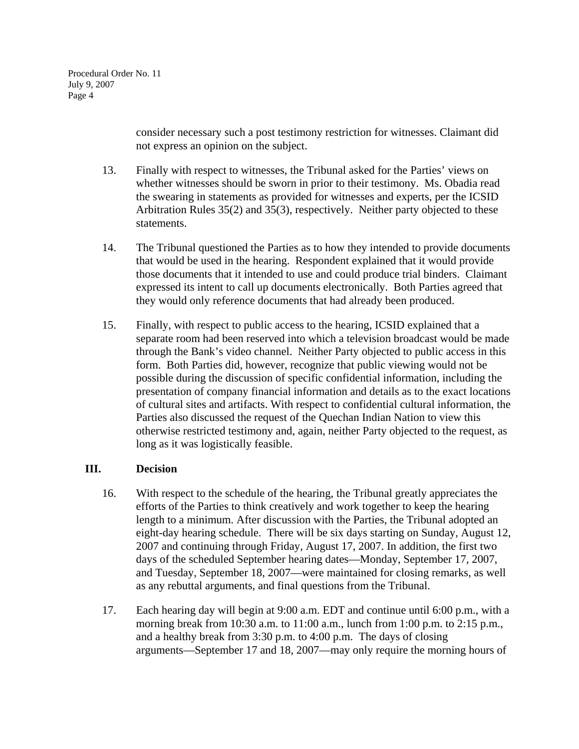> consider necessary such a post testimony restriction for witnesses. Claimant did not express an opinion on the subject.

- 13. Finally with respect to witnesses, the Tribunal asked for the Parties' views on whether witnesses should be sworn in prior to their testimony. Ms. Obadia read the swearing in statements as provided for witnesses and experts, per the ICSID Arbitration Rules 35(2) and 35(3), respectively. Neither party objected to these statements.
- 14. The Tribunal questioned the Parties as to how they intended to provide documents that would be used in the hearing. Respondent explained that it would provide those documents that it intended to use and could produce trial binders. Claimant expressed its intent to call up documents electronically. Both Parties agreed that they would only reference documents that had already been produced.
- 15. Finally, with respect to public access to the hearing, ICSID explained that a separate room had been reserved into which a television broadcast would be made through the Bank's video channel. Neither Party objected to public access in this form. Both Parties did, however, recognize that public viewing would not be possible during the discussion of specific confidential information, including the presentation of company financial information and details as to the exact locations of cultural sites and artifacts. With respect to confidential cultural information, the Parties also discussed the request of the Quechan Indian Nation to view this otherwise restricted testimony and, again, neither Party objected to the request, as long as it was logistically feasible.

# **III. Decision**

- 16. With respect to the schedule of the hearing, the Tribunal greatly appreciates the efforts of the Parties to think creatively and work together to keep the hearing length to a minimum. After discussion with the Parties, the Tribunal adopted an eight-day hearing schedule. There will be six days starting on Sunday, August 12, 2007 and continuing through Friday, August 17, 2007. In addition, the first two days of the scheduled September hearing dates—Monday, September 17, 2007, and Tuesday, September 18, 2007—were maintained for closing remarks, as well as any rebuttal arguments, and final questions from the Tribunal.
- 17. Each hearing day will begin at 9:00 a.m. EDT and continue until 6:00 p.m., with a morning break from 10:30 a.m. to 11:00 a.m., lunch from 1:00 p.m. to 2:15 p.m., and a healthy break from 3:30 p.m. to 4:00 p.m. The days of closing arguments—September 17 and 18, 2007—may only require the morning hours of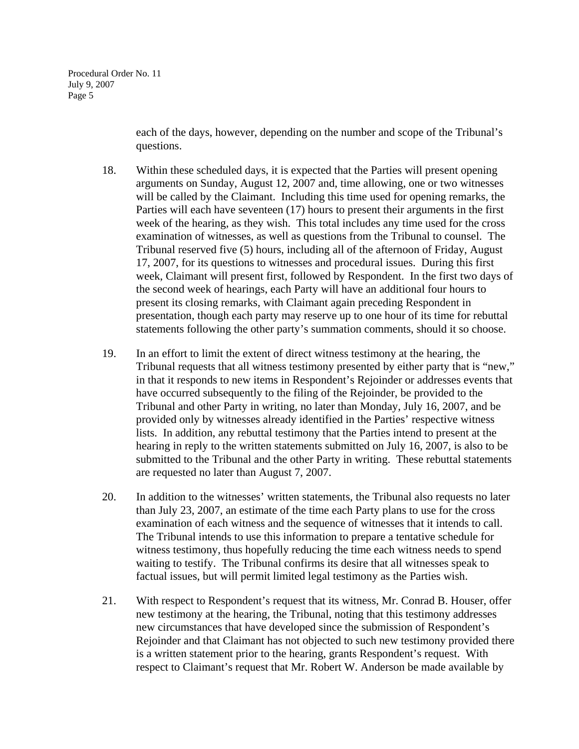each of the days, however, depending on the number and scope of the Tribunal's questions.

- 18. Within these scheduled days, it is expected that the Parties will present opening arguments on Sunday, August 12, 2007 and, time allowing, one or two witnesses will be called by the Claimant. Including this time used for opening remarks, the Parties will each have seventeen (17) hours to present their arguments in the first week of the hearing, as they wish. This total includes any time used for the cross examination of witnesses, as well as questions from the Tribunal to counsel. The Tribunal reserved five (5) hours, including all of the afternoon of Friday, August 17, 2007, for its questions to witnesses and procedural issues. During this first week, Claimant will present first, followed by Respondent. In the first two days of the second week of hearings, each Party will have an additional four hours to present its closing remarks, with Claimant again preceding Respondent in presentation, though each party may reserve up to one hour of its time for rebuttal statements following the other party's summation comments, should it so choose.
- 19. In an effort to limit the extent of direct witness testimony at the hearing, the Tribunal requests that all witness testimony presented by either party that is "new," in that it responds to new items in Respondent's Rejoinder or addresses events that have occurred subsequently to the filing of the Rejoinder, be provided to the Tribunal and other Party in writing, no later than Monday, July 16, 2007, and be provided only by witnesses already identified in the Parties' respective witness lists. In addition, any rebuttal testimony that the Parties intend to present at the hearing in reply to the written statements submitted on July 16, 2007, is also to be submitted to the Tribunal and the other Party in writing. These rebuttal statements are requested no later than August 7, 2007.
- 20. In addition to the witnesses' written statements, the Tribunal also requests no later than July 23, 2007, an estimate of the time each Party plans to use for the cross examination of each witness and the sequence of witnesses that it intends to call. The Tribunal intends to use this information to prepare a tentative schedule for witness testimony, thus hopefully reducing the time each witness needs to spend waiting to testify. The Tribunal confirms its desire that all witnesses speak to factual issues, but will permit limited legal testimony as the Parties wish.
- 21. With respect to Respondent's request that its witness, Mr. Conrad B. Houser, offer new testimony at the hearing, the Tribunal, noting that this testimony addresses new circumstances that have developed since the submission of Respondent's Rejoinder and that Claimant has not objected to such new testimony provided there is a written statement prior to the hearing, grants Respondent's request. With respect to Claimant's request that Mr. Robert W. Anderson be made available by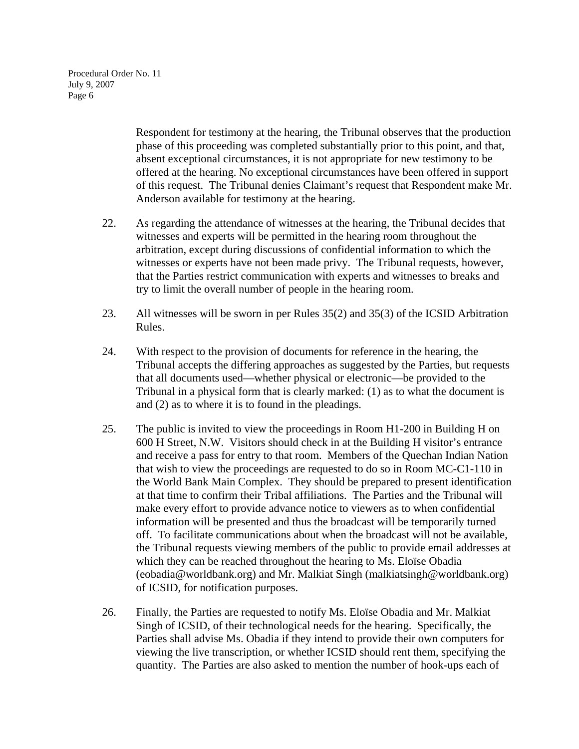> Respondent for testimony at the hearing, the Tribunal observes that the production phase of this proceeding was completed substantially prior to this point, and that, absent exceptional circumstances, it is not appropriate for new testimony to be offered at the hearing. No exceptional circumstances have been offered in support of this request. The Tribunal denies Claimant's request that Respondent make Mr. Anderson available for testimony at the hearing.

- 22. As regarding the attendance of witnesses at the hearing, the Tribunal decides that witnesses and experts will be permitted in the hearing room throughout the arbitration, except during discussions of confidential information to which the witnesses or experts have not been made privy. The Tribunal requests, however, that the Parties restrict communication with experts and witnesses to breaks and try to limit the overall number of people in the hearing room.
- 23. All witnesses will be sworn in per Rules 35(2) and 35(3) of the ICSID Arbitration Rules.
- 24. With respect to the provision of documents for reference in the hearing, the Tribunal accepts the differing approaches as suggested by the Parties, but requests that all documents used—whether physical or electronic—be provided to the Tribunal in a physical form that is clearly marked: (1) as to what the document is and (2) as to where it is to found in the pleadings.
- 25. The public is invited to view the proceedings in Room H1-200 in Building H on 600 H Street, N.W. Visitors should check in at the Building H visitor's entrance and receive a pass for entry to that room. Members of the Quechan Indian Nation that wish to view the proceedings are requested to do so in Room MC-C1-110 in the World Bank Main Complex. They should be prepared to present identification at that time to confirm their Tribal affiliations. The Parties and the Tribunal will make every effort to provide advance notice to viewers as to when confidential information will be presented and thus the broadcast will be temporarily turned off. To facilitate communications about when the broadcast will not be available, the Tribunal requests viewing members of the public to provide email addresses at which they can be reached throughout the hearing to Ms. Eloïse Obadia (eobadia@worldbank.org) and Mr. Malkiat Singh (malkiatsingh@worldbank.org) of ICSID, for notification purposes.
- 26. Finally, the Parties are requested to notify Ms. Eloïse Obadia and Mr. Malkiat Singh of ICSID, of their technological needs for the hearing. Specifically, the Parties shall advise Ms. Obadia if they intend to provide their own computers for viewing the live transcription, or whether ICSID should rent them, specifying the quantity. The Parties are also asked to mention the number of hook-ups each of